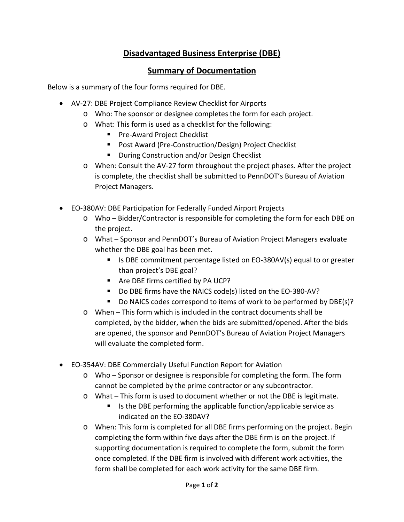## **Disadvantaged Business Enterprise (DBE)**

## **Summary of Documentation**

Below is a summary of the four forms required for DBE.

- AV-27: DBE Project Compliance Review Checklist for Airports
	- o Who: The sponsor or designee completes the form for each project.
	- o What: This form is used as a checklist for the following:
		- **Pre-Award Project Checklist**
		- Post Award (Pre-Construction/Design) Project Checklist
		- **During Construction and/or Design Checklist**
	- o When: Consult the AV-27 form throughout the project phases. After the project is complete, the checklist shall be submitted to PennDOT's Bureau of Aviation Project Managers.
- EO-380AV: DBE Participation for Federally Funded Airport Projects
	- o Who Bidder/Contractor is responsible for completing the form for each DBE on the project.
	- o What Sponsor and PennDOT's Bureau of Aviation Project Managers evaluate whether the DBE goal has been met.
		- Is DBE commitment percentage listed on EO-380AV(s) equal to or greater than project's DBE goal?
		- Are DBE firms certified by PA UCP?
		- Do DBE firms have the NAICS code(s) listed on the EO-380-AV?
		- Do NAICS codes correspond to items of work to be performed by DBE(s)?
	- o When This form which is included in the contract documents shall be completed, by the bidder, when the bids are submitted/opened. After the bids are opened, the sponsor and PennDOT's Bureau of Aviation Project Managers will evaluate the completed form.
- EO-354AV: DBE Commercially Useful Function Report for Aviation
	- o Who Sponsor or designee is responsible for completing the form. The form cannot be completed by the prime contractor or any subcontractor.
	- o What This form is used to document whether or not the DBE is legitimate.
		- $\blacksquare$  Is the DBE performing the applicable function/applicable service as indicated on the EO-380AV?
	- o When: This form is completed for all DBE firms performing on the project. Begin completing the form within five days after the DBE firm is on the project. If supporting documentation is required to complete the form, submit the form once completed. If the DBE firm is involved with different work activities, the form shall be completed for each work activity for the same DBE firm.